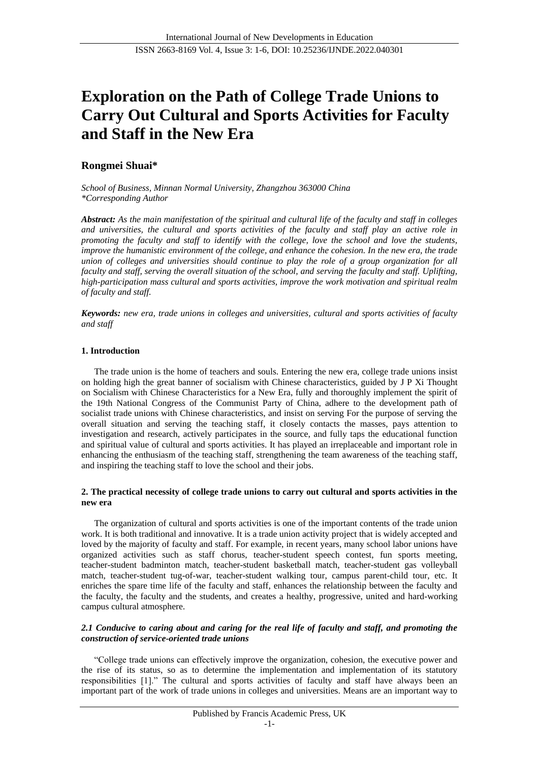# **Exploration on the Path of College Trade Unions to Carry Out Cultural and Sports Activities for Faculty and Staff in the New Era**

# **Rongmei Shuai\***

*School of Business, Minnan Normal University, Zhangzhou 363000 China \*Corresponding Author*

*Abstract: As the main manifestation of the spiritual and cultural life of the faculty and staff in colleges and universities, the cultural and sports activities of the faculty and staff play an active role in promoting the faculty and staff to identify with the college, love the school and love the students, improve the humanistic environment of the college, and enhance the cohesion. In the new era, the trade union of colleges and universities should continue to play the role of a group organization for all faculty and staff, serving the overall situation of the school, and serving the faculty and staff. Uplifting, high-participation mass cultural and sports activities, improve the work motivation and spiritual realm of faculty and staff.*

*Keywords: new era, trade unions in colleges and universities, cultural and sports activities of faculty and staff*

# **1. Introduction**

The trade union is the home of teachers and souls. Entering the new era, college trade unions insist on holding high the great banner of socialism with Chinese characteristics, guided by J P Xi Thought on Socialism with Chinese Characteristics for a New Era, fully and thoroughly implement the spirit of the 19th National Congress of the Communist Party of China, adhere to the development path of socialist trade unions with Chinese characteristics, and insist on serving For the purpose of serving the overall situation and serving the teaching staff, it closely contacts the masses, pays attention to investigation and research, actively participates in the source, and fully taps the educational function and spiritual value of cultural and sports activities. It has played an irreplaceable and important role in enhancing the enthusiasm of the teaching staff, strengthening the team awareness of the teaching staff, and inspiring the teaching staff to love the school and their jobs.

#### **2. The practical necessity of college trade unions to carry out cultural and sports activities in the new era**

The organization of cultural and sports activities is one of the important contents of the trade union work. It is both traditional and innovative. It is a trade union activity project that is widely accepted and loved by the majority of faculty and staff. For example, in recent years, many school labor unions have organized activities such as staff chorus, teacher-student speech contest, fun sports meeting, teacher-student badminton match, teacher-student basketball match, teacher-student gas volleyball match, teacher-student tug-of-war, teacher-student walking tour, campus parent-child tour, etc. It enriches the spare time life of the faculty and staff, enhances the relationship between the faculty and the faculty, the faculty and the students, and creates a healthy, progressive, united and hard-working campus cultural atmosphere.

# *2.1 Conducive to caring about and caring for the real life of faculty and staff, and promoting the construction of service-oriented trade unions*

"College trade unions can effectively improve the organization, cohesion, the executive power and the rise of its status, so as to determine the implementation and implementation of its statutory responsibilities [1]." The cultural and sports activities of faculty and staff have always been an important part of the work of trade unions in colleges and universities. Means are an important way to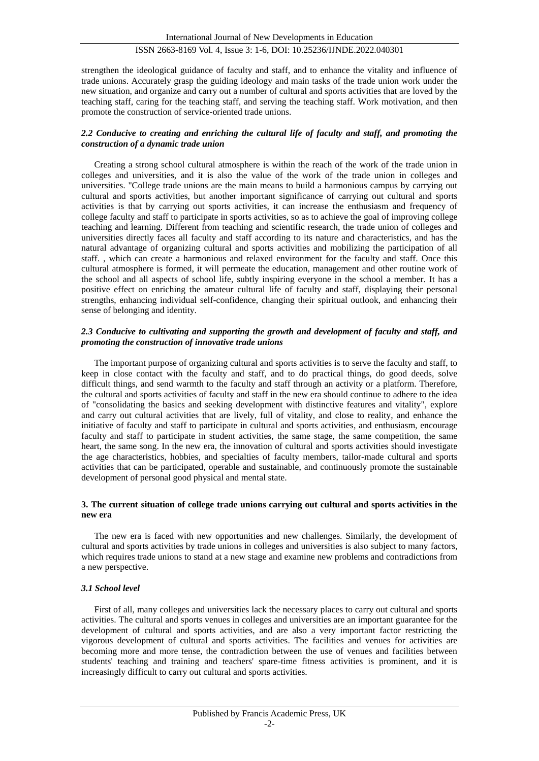strengthen the ideological guidance of faculty and staff, and to enhance the vitality and influence of trade unions. Accurately grasp the guiding ideology and main tasks of the trade union work under the new situation, and organize and carry out a number of cultural and sports activities that are loved by the teaching staff, caring for the teaching staff, and serving the teaching staff. Work motivation, and then promote the construction of service-oriented trade unions.

# *2.2 Conducive to creating and enriching the cultural life of faculty and staff, and promoting the construction of a dynamic trade union*

Creating a strong school cultural atmosphere is within the reach of the work of the trade union in colleges and universities, and it is also the value of the work of the trade union in colleges and universities. "College trade unions are the main means to build a harmonious campus by carrying out cultural and sports activities, but another important significance of carrying out cultural and sports activities is that by carrying out sports activities, it can increase the enthusiasm and frequency of college faculty and staff to participate in sports activities, so as to achieve the goal of improving college teaching and learning. Different from teaching and scientific research, the trade union of colleges and universities directly faces all faculty and staff according to its nature and characteristics, and has the natural advantage of organizing cultural and sports activities and mobilizing the participation of all staff. , which can create a harmonious and relaxed environment for the faculty and staff. Once this cultural atmosphere is formed, it will permeate the education, management and other routine work of the school and all aspects of school life, subtly inspiring everyone in the school a member. It has a positive effect on enriching the amateur cultural life of faculty and staff, displaying their personal strengths, enhancing individual self-confidence, changing their spiritual outlook, and enhancing their sense of belonging and identity.

#### *2.3 Conducive to cultivating and supporting the growth and development of faculty and staff, and promoting the construction of innovative trade unions*

The important purpose of organizing cultural and sports activities is to serve the faculty and staff, to keep in close contact with the faculty and staff, and to do practical things, do good deeds, solve difficult things, and send warmth to the faculty and staff through an activity or a platform. Therefore, the cultural and sports activities of faculty and staff in the new era should continue to adhere to the idea of "consolidating the basics and seeking development with distinctive features and vitality", explore and carry out cultural activities that are lively, full of vitality, and close to reality, and enhance the initiative of faculty and staff to participate in cultural and sports activities, and enthusiasm, encourage faculty and staff to participate in student activities, the same stage, the same competition, the same heart, the same song. In the new era, the innovation of cultural and sports activities should investigate the age characteristics, hobbies, and specialties of faculty members, tailor-made cultural and sports activities that can be participated, operable and sustainable, and continuously promote the sustainable development of personal good physical and mental state.

#### **3. The current situation of college trade unions carrying out cultural and sports activities in the new era**

The new era is faced with new opportunities and new challenges. Similarly, the development of cultural and sports activities by trade unions in colleges and universities is also subject to many factors, which requires trade unions to stand at a new stage and examine new problems and contradictions from a new perspective.

# *3.1 School level*

First of all, many colleges and universities lack the necessary places to carry out cultural and sports activities. The cultural and sports venues in colleges and universities are an important guarantee for the development of cultural and sports activities, and are also a very important factor restricting the vigorous development of cultural and sports activities. The facilities and venues for activities are becoming more and more tense, the contradiction between the use of venues and facilities between students' teaching and training and teachers' spare-time fitness activities is prominent, and it is increasingly difficult to carry out cultural and sports activities.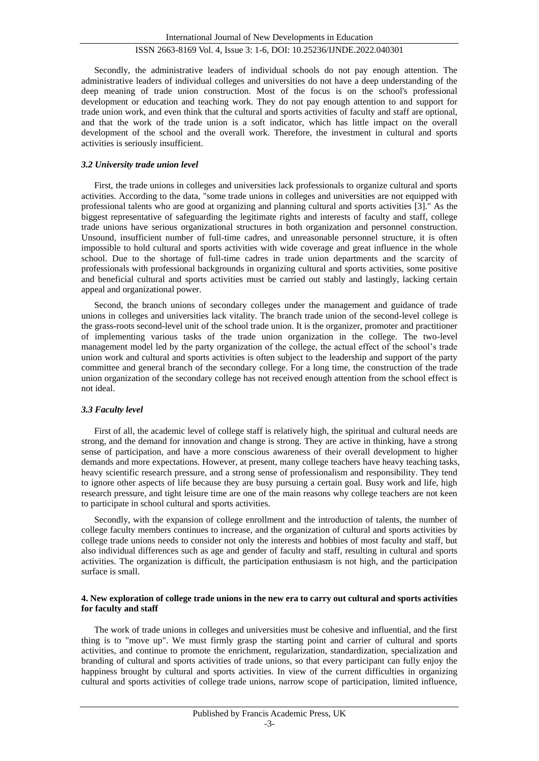Secondly, the administrative leaders of individual schools do not pay enough attention. The administrative leaders of individual colleges and universities do not have a deep understanding of the deep meaning of trade union construction. Most of the focus is on the school's professional development or education and teaching work. They do not pay enough attention to and support for trade union work, and even think that the cultural and sports activities of faculty and staff are optional, and that the work of the trade union is a soft indicator, which has little impact on the overall development of the school and the overall work. Therefore, the investment in cultural and sports activities is seriously insufficient.

#### *3.2 University trade union level*

First, the trade unions in colleges and universities lack professionals to organize cultural and sports activities. According to the data, "some trade unions in colleges and universities are not equipped with professional talents who are good at organizing and planning cultural and sports activities [3]." As the biggest representative of safeguarding the legitimate rights and interests of faculty and staff, college trade unions have serious organizational structures in both organization and personnel construction. Unsound, insufficient number of full-time cadres, and unreasonable personnel structure, it is often impossible to hold cultural and sports activities with wide coverage and great influence in the whole school. Due to the shortage of full-time cadres in trade union departments and the scarcity of professionals with professional backgrounds in organizing cultural and sports activities, some positive and beneficial cultural and sports activities must be carried out stably and lastingly, lacking certain appeal and organizational power.

Second, the branch unions of secondary colleges under the management and guidance of trade unions in colleges and universities lack vitality. The branch trade union of the second-level college is the grass-roots second-level unit of the school trade union. It is the organizer, promoter and practitioner of implementing various tasks of the trade union organization in the college. The two-level management model led by the party organization of the college, the actual effect of the school's trade union work and cultural and sports activities is often subject to the leadership and support of the party committee and general branch of the secondary college. For a long time, the construction of the trade union organization of the secondary college has not received enough attention from the school effect is not ideal.

#### *3.3 Faculty level*

First of all, the academic level of college staff is relatively high, the spiritual and cultural needs are strong, and the demand for innovation and change is strong. They are active in thinking, have a strong sense of participation, and have a more conscious awareness of their overall development to higher demands and more expectations. However, at present, many college teachers have heavy teaching tasks, heavy scientific research pressure, and a strong sense of professionalism and responsibility. They tend to ignore other aspects of life because they are busy pursuing a certain goal. Busy work and life, high research pressure, and tight leisure time are one of the main reasons why college teachers are not keen to participate in school cultural and sports activities.

Secondly, with the expansion of college enrollment and the introduction of talents, the number of college faculty members continues to increase, and the organization of cultural and sports activities by college trade unions needs to consider not only the interests and hobbies of most faculty and staff, but also individual differences such as age and gender of faculty and staff, resulting in cultural and sports activities. The organization is difficult, the participation enthusiasm is not high, and the participation surface is small.

#### **4. New exploration of college trade unions in the new era to carry out cultural and sports activities for faculty and staff**

The work of trade unions in colleges and universities must be cohesive and influential, and the first thing is to "move up". We must firmly grasp the starting point and carrier of cultural and sports activities, and continue to promote the enrichment, regularization, standardization, specialization and branding of cultural and sports activities of trade unions, so that every participant can fully enjoy the happiness brought by cultural and sports activities. In view of the current difficulties in organizing cultural and sports activities of college trade unions, narrow scope of participation, limited influence,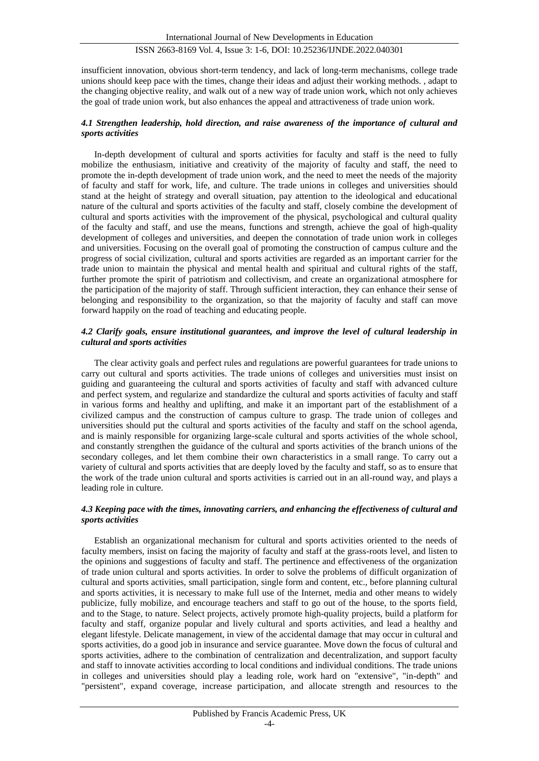insufficient innovation, obvious short-term tendency, and lack of long-term mechanisms, college trade unions should keep pace with the times, change their ideas and adjust their working methods. , adapt to the changing objective reality, and walk out of a new way of trade union work, which not only achieves the goal of trade union work, but also enhances the appeal and attractiveness of trade union work.

#### *4.1 Strengthen leadership, hold direction, and raise awareness of the importance of cultural and sports activities*

In-depth development of cultural and sports activities for faculty and staff is the need to fully mobilize the enthusiasm, initiative and creativity of the majority of faculty and staff, the need to promote the in-depth development of trade union work, and the need to meet the needs of the majority of faculty and staff for work, life, and culture. The trade unions in colleges and universities should stand at the height of strategy and overall situation, pay attention to the ideological and educational nature of the cultural and sports activities of the faculty and staff, closely combine the development of cultural and sports activities with the improvement of the physical, psychological and cultural quality of the faculty and staff, and use the means, functions and strength, achieve the goal of high-quality development of colleges and universities, and deepen the connotation of trade union work in colleges and universities. Focusing on the overall goal of promoting the construction of campus culture and the progress of social civilization, cultural and sports activities are regarded as an important carrier for the trade union to maintain the physical and mental health and spiritual and cultural rights of the staff, further promote the spirit of patriotism and collectivism, and create an organizational atmosphere for the participation of the majority of staff. Through sufficient interaction, they can enhance their sense of belonging and responsibility to the organization, so that the majority of faculty and staff can move forward happily on the road of teaching and educating people.

#### *4.2 Clarify goals, ensure institutional guarantees, and improve the level of cultural leadership in cultural and sports activities*

The clear activity goals and perfect rules and regulations are powerful guarantees for trade unions to carry out cultural and sports activities. The trade unions of colleges and universities must insist on guiding and guaranteeing the cultural and sports activities of faculty and staff with advanced culture and perfect system, and regularize and standardize the cultural and sports activities of faculty and staff in various forms and healthy and uplifting, and make it an important part of the establishment of a civilized campus and the construction of campus culture to grasp. The trade union of colleges and universities should put the cultural and sports activities of the faculty and staff on the school agenda, and is mainly responsible for organizing large-scale cultural and sports activities of the whole school, and constantly strengthen the guidance of the cultural and sports activities of the branch unions of the secondary colleges, and let them combine their own characteristics in a small range. To carry out a variety of cultural and sports activities that are deeply loved by the faculty and staff, so as to ensure that the work of the trade union cultural and sports activities is carried out in an all-round way, and plays a leading role in culture.

#### *4.3 Keeping pace with the times, innovating carriers, and enhancing the effectiveness of cultural and sports activities*

Establish an organizational mechanism for cultural and sports activities oriented to the needs of faculty members, insist on facing the majority of faculty and staff at the grass-roots level, and listen to the opinions and suggestions of faculty and staff. The pertinence and effectiveness of the organization of trade union cultural and sports activities. In order to solve the problems of difficult organization of cultural and sports activities, small participation, single form and content, etc., before planning cultural and sports activities, it is necessary to make full use of the Internet, media and other means to widely publicize, fully mobilize, and encourage teachers and staff to go out of the house, to the sports field, and to the Stage, to nature. Select projects, actively promote high-quality projects, build a platform for faculty and staff, organize popular and lively cultural and sports activities, and lead a healthy and elegant lifestyle. Delicate management, in view of the accidental damage that may occur in cultural and sports activities, do a good job in insurance and service guarantee. Move down the focus of cultural and sports activities, adhere to the combination of centralization and decentralization, and support faculty and staff to innovate activities according to local conditions and individual conditions. The trade unions in colleges and universities should play a leading role, work hard on "extensive", "in-depth" and "persistent", expand coverage, increase participation, and allocate strength and resources to the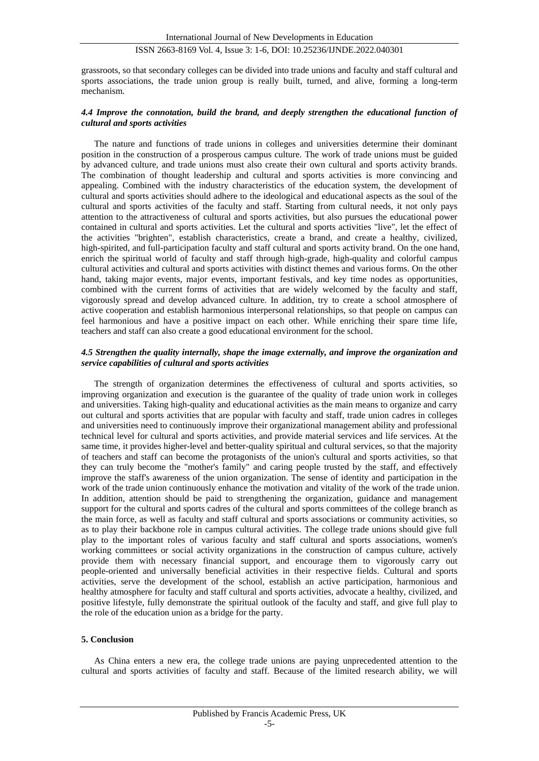grassroots, so that secondary colleges can be divided into trade unions and faculty and staff cultural and sports associations, the trade union group is really built, turned, and alive, forming a long-term mechanism.

#### *4.4 Improve the connotation, build the brand, and deeply strengthen the educational function of cultural and sports activities*

The nature and functions of trade unions in colleges and universities determine their dominant position in the construction of a prosperous campus culture. The work of trade unions must be guided by advanced culture, and trade unions must also create their own cultural and sports activity brands. The combination of thought leadership and cultural and sports activities is more convincing and appealing. Combined with the industry characteristics of the education system, the development of cultural and sports activities should adhere to the ideological and educational aspects as the soul of the cultural and sports activities of the faculty and staff. Starting from cultural needs, it not only pays attention to the attractiveness of cultural and sports activities, but also pursues the educational power contained in cultural and sports activities. Let the cultural and sports activities "live", let the effect of the activities "brighten", establish characteristics, create a brand, and create a healthy, civilized, high-spirited, and full-participation faculty and staff cultural and sports activity brand. On the one hand, enrich the spiritual world of faculty and staff through high-grade, high-quality and colorful campus cultural activities and cultural and sports activities with distinct themes and various forms. On the other hand, taking major events, major events, important festivals, and key time nodes as opportunities, combined with the current forms of activities that are widely welcomed by the faculty and staff, vigorously spread and develop advanced culture. In addition, try to create a school atmosphere of active cooperation and establish harmonious interpersonal relationships, so that people on campus can feel harmonious and have a positive impact on each other. While enriching their spare time life, teachers and staff can also create a good educational environment for the school.

#### *4.5 Strengthen the quality internally, shape the image externally, and improve the organization and service capabilities of cultural and sports activities*

The strength of organization determines the effectiveness of cultural and sports activities, so improving organization and execution is the guarantee of the quality of trade union work in colleges and universities. Taking high-quality and educational activities as the main means to organize and carry out cultural and sports activities that are popular with faculty and staff, trade union cadres in colleges and universities need to continuously improve their organizational management ability and professional technical level for cultural and sports activities, and provide material services and life services. At the same time, it provides higher-level and better-quality spiritual and cultural services, so that the majority of teachers and staff can become the protagonists of the union's cultural and sports activities, so that they can truly become the "mother's family" and caring people trusted by the staff, and effectively improve the staff's awareness of the union organization. The sense of identity and participation in the work of the trade union continuously enhance the motivation and vitality of the work of the trade union. In addition, attention should be paid to strengthening the organization, guidance and management support for the cultural and sports cadres of the cultural and sports committees of the college branch as the main force, as well as faculty and staff cultural and sports associations or community activities, so as to play their backbone role in campus cultural activities. The college trade unions should give full play to the important roles of various faculty and staff cultural and sports associations, women's working committees or social activity organizations in the construction of campus culture, actively provide them with necessary financial support, and encourage them to vigorously carry out people-oriented and universally beneficial activities in their respective fields. Cultural and sports activities, serve the development of the school, establish an active participation, harmonious and healthy atmosphere for faculty and staff cultural and sports activities, advocate a healthy, civilized, and positive lifestyle, fully demonstrate the spiritual outlook of the faculty and staff, and give full play to the role of the education union as a bridge for the party.

#### **5. Conclusion**

As China enters a new era, the college trade unions are paying unprecedented attention to the cultural and sports activities of faculty and staff. Because of the limited research ability, we will